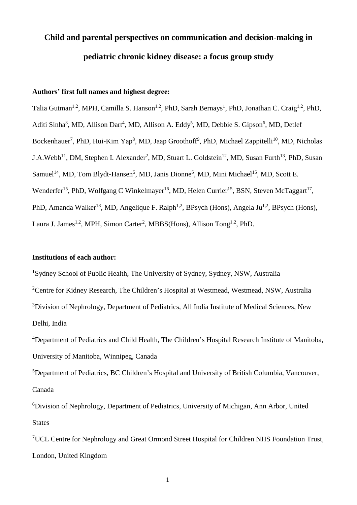# **Child and parental perspectives on communication and decision-making in pediatric chronic kidney disease: a focus group study**

# **Authors' first full names and highest degree:**

Talia Gutman<sup>1,2</sup>, MPH, Camilla S. Hanson<sup>1,2</sup>, PhD, Sarah Bernays<sup>1</sup>, PhD, Jonathan C. Craig<sup>1,2</sup>, PhD, Aditi Sinha<sup>3</sup>, MD, Allison Dart<sup>4</sup>, MD, Allison A. Eddy<sup>5</sup>, MD, Debbie S. Gipson<sup>6</sup>, MD, Detlef Bockenhauer<sup>7</sup>, PhD, Hui-Kim Yap<sup>8</sup>, MD, Jaap Groothoff<sup>9</sup>, PhD, Michael Zappitelli<sup>10</sup>, MD, Nicholas J.A.Webb<sup>11</sup>, DM, Stephen I. Alexander<sup>2</sup>, MD, Stuart L. Goldstein<sup>12</sup>, MD, Susan Furth<sup>13</sup>, PhD, Susan Samuel<sup>14</sup>, MD, Tom Blydt-Hansen<sup>5</sup>, MD, Janis Dionne<sup>5</sup>, MD, Mini Michael<sup>15</sup>, MD, Scott E. Wenderfer<sup>15</sup>, PhD, Wolfgang C Winkelmayer<sup>16</sup>, MD, Helen Currier<sup>15</sup>, BSN, Steven McTaggart<sup>17</sup>, PhD, Amanda Walker<sup>18</sup>, MD, Angelique F. Ralph<sup>1,2</sup>, BPsych (Hons), Angela Ju<sup>1,2</sup>, BPsych (Hons), Laura J. James<sup>1,2</sup>, MPH, Simon Carter<sup>2</sup>, MBBS(Hons), Allison Tong<sup>1,2</sup>, PhD.

## **Institutions of each author:**

<sup>1</sup>Sydney School of Public Health, The University of Sydney, Sydney, NSW, Australia <sup>2</sup>Centre for Kidney Research, The Children's Hospital at Westmead, Westmead, NSW, Australia <sup>3</sup>Division of Nephrology, Department of Pediatrics, All India Institute of Medical Sciences, New Delhi, India

<sup>4</sup>Department of Pediatrics and Child Health, The Children's Hospital Research Institute of Manitoba, University of Manitoba, Winnipeg, Canada

<sup>5</sup>Department of Pediatrics, BC Children's Hospital and University of British Columbia, Vancouver, Canada

<sup>6</sup>Division of Nephrology, Department of Pediatrics, University of Michigan, Ann Arbor, United **States** 

<sup>7</sup>UCL Centre for Nephrology and Great Ormond Street Hospital for Children NHS Foundation Trust, London, United Kingdom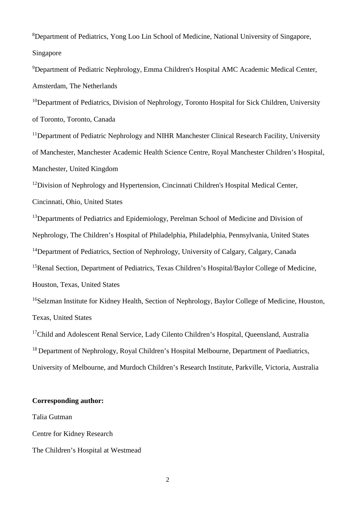<sup>8</sup>Department of Pediatrics, Yong Loo Lin School of Medicine, National University of Singapore, Singapore

<sup>9</sup>Department of Pediatric Nephrology, Emma Children's Hospital AMC Academic Medical Center, Amsterdam, The Netherlands

<sup>10</sup>Department of Pediatrics, Division of Nephrology, Toronto Hospital for Sick Children, University of Toronto, Toronto, Canada

<sup>11</sup>Department of Pediatric Nephrology and NIHR Manchester Clinical Research Facility, University of Manchester, Manchester Academic Health Science Centre, Royal Manchester Children's Hospital, Manchester, United Kingdom

<sup>12</sup>Division of Nephrology and Hypertension, Cincinnati Children's Hospital Medical Center,

Cincinnati, Ohio, United States

<sup>13</sup>Departments of Pediatrics and Epidemiology, Perelman School of Medicine and Division of Nephrology, The Children's Hospital of Philadelphia, Philadelphia, Pennsylvania, United States <sup>14</sup>Department of Pediatrics, Section of Nephrology, University of Calgary, Calgary, Canada <sup>15</sup>Renal Section, Department of Pediatrics, Texas Children's Hospital/Baylor College of Medicine, Houston, Texas, United States

<sup>16</sup>Selzman Institute for Kidney Health, Section of Nephrology, Baylor College of Medicine, Houston, Texas, United States

<sup>17</sup>Child and Adolescent Renal Service, Lady Cilento Children's Hospital, Queensland, Australia <sup>18</sup> Department of Nephrology, Royal Children's Hospital Melbourne, Department of Paediatrics, University of Melbourne, and Murdoch Children's Research Institute, Parkville, Victoria, Australia

### **Corresponding author:**

Talia Gutman

Centre for Kidney Research

The Children's Hospital at Westmead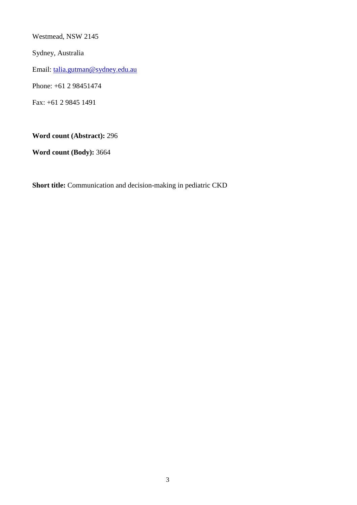Westmead, NSW 2145

Sydney, Australia

Email: talia.gutman@sydney.edu.au

Phone: +61 2 98451474

Fax: +61 2 9845 1491

**Word count (Abstract):** 296

**Word count (Body):** 3664

**Short title:** Communication and decision-making in pediatric CKD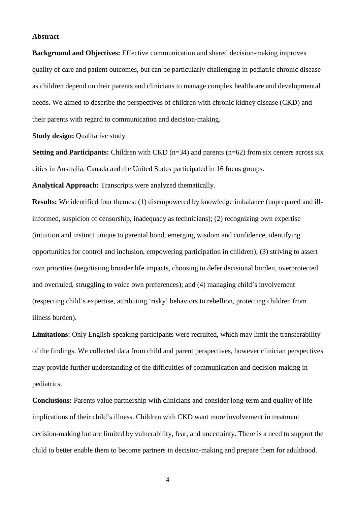#### **Abstract**

**Background and Objectives:** Effective communication and shared decision-making improves quality of care and patient outcomes, but can be particularly challenging in pediatric chronic disease as children depend on their parents and clinicians to manage complex healthcare and developmental needs. We aimed to describe the perspectives of children with chronic kidney disease (CKD) and their parents with regard to communication and decision-making.

#### **Study design:** Qualitative study

**Setting and Participants:** Children with CKD (n=34) and parents (n=62) from six centers across six cities in Australia, Canada and the United States participated in 16 focus groups.

**Analytical Approach:** Transcripts were analyzed thematically.

**Results:** We identified four themes: (1) disempowered by knowledge imbalance (unprepared and illinformed, suspicion of censorship, inadequacy as technicians); (2) recognizing own expertise (intuition and instinct unique to parental bond, emerging wisdom and confidence, identifying opportunities for control and inclusion, empowering participation in children); (3) striving to assert own priorities (negotiating broader life impacts, choosing to defer decisional burden, overprotected and overruled, struggling to voice own preferences); and (4) managing child's involvement (respecting child's expertise, attributing 'risky' behaviors to rebellion, protecting children from illness burden).

**Limitations:** Only English-speaking participants were recruited, which may limit the transferability of the findings. We collected data from child and parent perspectives, however clinician perspectives may provide further understanding of the difficulties of communication and decision-making in pediatrics.

**Conclusions:** Parents value partnership with clinicians and consider long-term and quality of life implications of their child's illness. Children with CKD want more involvement in treatment decision-making but are limited by vulnerability, fear, and uncertainty. There is a need to support the child to better enable them to become partners in decision-making and prepare them for adulthood.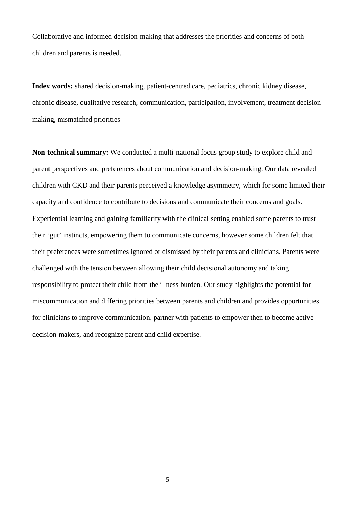Collaborative and informed decision-making that addresses the priorities and concerns of both children and parents is needed.

**Index words:** shared decision-making, patient-centred care, pediatrics, chronic kidney disease, chronic disease, qualitative research, communication, participation, involvement, treatment decisionmaking, mismatched priorities

**Non-technical summary:** We conducted a multi-national focus group study to explore child and parent perspectives and preferences about communication and decision-making. Our data revealed children with CKD and their parents perceived a knowledge asymmetry, which for some limited their capacity and confidence to contribute to decisions and communicate their concerns and goals. Experiential learning and gaining familiarity with the clinical setting enabled some parents to trust their 'gut' instincts, empowering them to communicate concerns, however some children felt that their preferences were sometimes ignored or dismissed by their parents and clinicians. Parents were challenged with the tension between allowing their child decisional autonomy and taking responsibility to protect their child from the illness burden. Our study highlights the potential for miscommunication and differing priorities between parents and children and provides opportunities for clinicians to improve communication, partner with patients to empower then to become active decision-makers, and recognize parent and child expertise.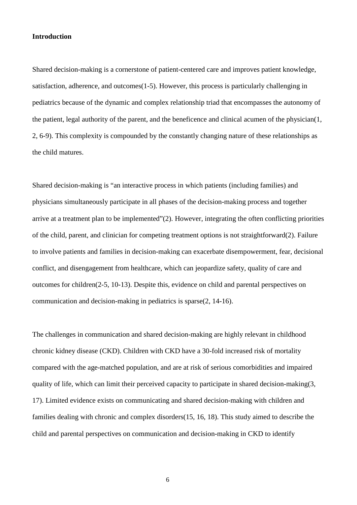#### **Introduction**

Shared decision-making is a cornerstone of patient-centered care and improves patient knowledge, satisfaction, adherence, and outcomes(1-5). However, this process is particularly challenging in pediatrics because of the dynamic and complex relationship triad that encompasses the autonomy of the patient, legal authority of the parent, and the beneficence and clinical acumen of the physician(1, 2, 6-9). This complexity is compounded by the constantly changing nature of these relationships as the child matures.

Shared decision-making is "an interactive process in which patients (including families) and physicians simultaneously participate in all phases of the decision-making process and together arrive at a treatment plan to be implemented"(2). However, integrating the often conflicting priorities of the child, parent, and clinician for competing treatment options is not straightforward(2). Failure to involve patients and families in decision-making can exacerbate disempowerment, fear, decisional conflict, and disengagement from healthcare, which can jeopardize safety, quality of care and outcomes for children(2-5, 10-13). Despite this, evidence on child and parental perspectives on communication and decision-making in pediatrics is sparse(2, 14-16).

The challenges in communication and shared decision-making are highly relevant in childhood chronic kidney disease (CKD). Children with CKD have a 30-fold increased risk of mortality compared with the age-matched population, and are at risk of serious comorbidities and impaired quality of life, which can limit their perceived capacity to participate in shared decision-making(3, 17). Limited evidence exists on communicating and shared decision-making with children and families dealing with chronic and complex disorders(15, 16, 18). This study aimed to describe the child and parental perspectives on communication and decision-making in CKD to identify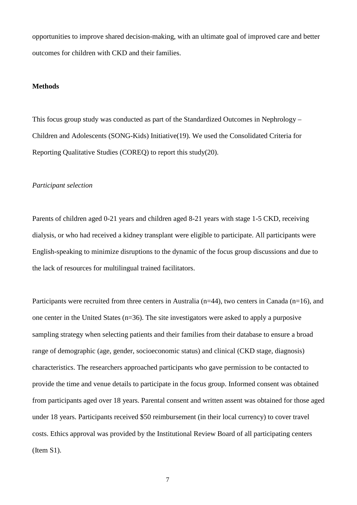opportunities to improve shared decision-making, with an ultimate goal of improved care and better outcomes for children with CKD and their families.

#### **Methods**

This focus group study was conducted as part of the Standardized Outcomes in Nephrology – Children and Adolescents (SONG-Kids) Initiative(19). We used the Consolidated Criteria for Reporting Qualitative Studies (COREQ) to report this study(20).

#### *Participant selection*

Parents of children aged 0-21 years and children aged 8-21 years with stage 1-5 CKD, receiving dialysis, or who had received a kidney transplant were eligible to participate. All participants were English-speaking to minimize disruptions to the dynamic of the focus group discussions and due to the lack of resources for multilingual trained facilitators.

Participants were recruited from three centers in Australia ( $n=44$ ), two centers in Canada ( $n=16$ ), and one center in the United States (n=36). The site investigators were asked to apply a purposive sampling strategy when selecting patients and their families from their database to ensure a broad range of demographic (age, gender, socioeconomic status) and clinical (CKD stage, diagnosis) characteristics. The researchers approached participants who gave permission to be contacted to provide the time and venue details to participate in the focus group. Informed consent was obtained from participants aged over 18 years. Parental consent and written assent was obtained for those aged under 18 years. Participants received \$50 reimbursement (in their local currency) to cover travel costs. Ethics approval was provided by the Institutional Review Board of all participating centers (Item S1).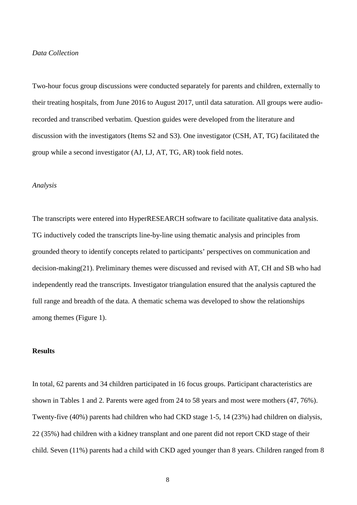#### *Data Collection*

Two-hour focus group discussions were conducted separately for parents and children, externally to their treating hospitals, from June 2016 to August 2017, until data saturation. All groups were audiorecorded and transcribed verbatim. Question guides were developed from the literature and discussion with the investigators (Items S2 and S3). One investigator (CSH, AT, TG) facilitated the group while a second investigator (AJ, LJ, AT, TG, AR) took field notes.

#### *Analysis*

The transcripts were entered into HyperRESEARCH software to facilitate qualitative data analysis. TG inductively coded the transcripts line-by-line using thematic analysis and principles from grounded theory to identify concepts related to participants' perspectives on communication and decision-making(21). Preliminary themes were discussed and revised with AT, CH and SB who had independently read the transcripts. Investigator triangulation ensured that the analysis captured the full range and breadth of the data. A thematic schema was developed to show the relationships among themes (Figure 1).

# **Results**

In total, 62 parents and 34 children participated in 16 focus groups. Participant characteristics are shown in Tables 1 and 2. Parents were aged from 24 to 58 years and most were mothers (47, 76%). Twenty-five (40%) parents had children who had CKD stage 1-5, 14 (23%) had children on dialysis, 22 (35%) had children with a kidney transplant and one parent did not report CKD stage of their child. Seven (11%) parents had a child with CKD aged younger than 8 years. Children ranged from 8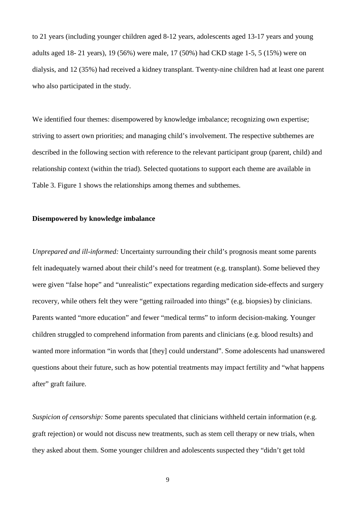to 21 years (including younger children aged 8-12 years, adolescents aged 13-17 years and young adults aged 18- 21 years), 19 (56%) were male, 17 (50%) had CKD stage 1-5, 5 (15%) were on dialysis, and 12 (35%) had received a kidney transplant. Twenty-nine children had at least one parent who also participated in the study.

We identified four themes: disempowered by knowledge imbalance; recognizing own expertise; striving to assert own priorities; and managing child's involvement. The respective subthemes are described in the following section with reference to the relevant participant group (parent, child) and relationship context (within the triad). Selected quotations to support each theme are available in Table 3. Figure 1 shows the relationships among themes and subthemes.

#### **Disempowered by knowledge imbalance**

*Unprepared and ill-informed:* Uncertainty surrounding their child's prognosis meant some parents felt inadequately warned about their child's need for treatment (e.g. transplant). Some believed they were given "false hope" and "unrealistic" expectations regarding medication side-effects and surgery recovery, while others felt they were "getting railroaded into things" (e.g. biopsies) by clinicians. Parents wanted "more education" and fewer "medical terms" to inform decision-making. Younger children struggled to comprehend information from parents and clinicians (e.g. blood results) and wanted more information "in words that [they] could understand". Some adolescents had unanswered questions about their future, such as how potential treatments may impact fertility and "what happens after" graft failure.

*Suspicion of censorship:* Some parents speculated that clinicians withheld certain information (e.g. graft rejection) or would not discuss new treatments, such as stem cell therapy or new trials, when they asked about them. Some younger children and adolescents suspected they "didn't get told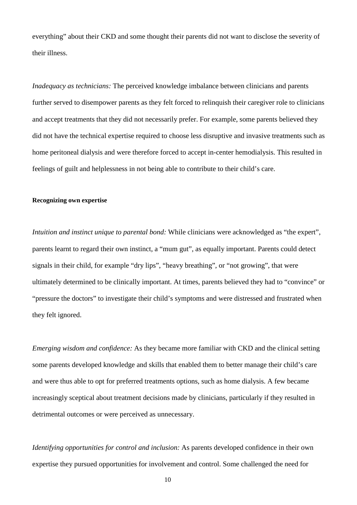everything" about their CKD and some thought their parents did not want to disclose the severity of their illness.

*Inadequacy as technicians:* The perceived knowledge imbalance between clinicians and parents further served to disempower parents as they felt forced to relinquish their caregiver role to clinicians and accept treatments that they did not necessarily prefer. For example, some parents believed they did not have the technical expertise required to choose less disruptive and invasive treatments such as home peritoneal dialysis and were therefore forced to accept in-center hemodialysis. This resulted in feelings of guilt and helplessness in not being able to contribute to their child's care.

#### **Recognizing own expertise**

*Intuition and instinct unique to parental bond:* While clinicians were acknowledged as "the expert", parents learnt to regard their own instinct, a "mum gut", as equally important. Parents could detect signals in their child, for example "dry lips", "heavy breathing", or "not growing", that were ultimately determined to be clinically important. At times, parents believed they had to "convince" or "pressure the doctors" to investigate their child's symptoms and were distressed and frustrated when they felt ignored.

*Emerging wisdom and confidence:* As they became more familiar with CKD and the clinical setting some parents developed knowledge and skills that enabled them to better manage their child's care and were thus able to opt for preferred treatments options, such as home dialysis. A few became increasingly sceptical about treatment decisions made by clinicians, particularly if they resulted in detrimental outcomes or were perceived as unnecessary.

*Identifying opportunities for control and inclusion:* As parents developed confidence in their own expertise they pursued opportunities for involvement and control. Some challenged the need for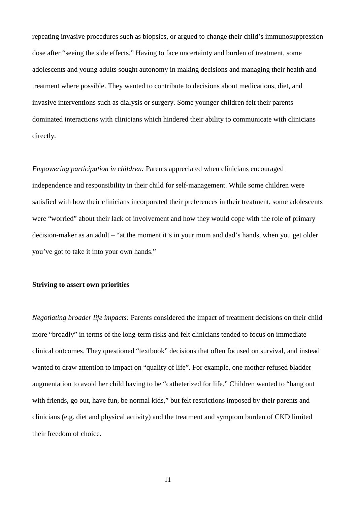repeating invasive procedures such as biopsies, or argued to change their child's immunosuppression dose after "seeing the side effects." Having to face uncertainty and burden of treatment, some adolescents and young adults sought autonomy in making decisions and managing their health and treatment where possible. They wanted to contribute to decisions about medications, diet, and invasive interventions such as dialysis or surgery. Some younger children felt their parents dominated interactions with clinicians which hindered their ability to communicate with clinicians directly.

*Empowering participation in children:* Parents appreciated when clinicians encouraged independence and responsibility in their child for self-management. While some children were satisfied with how their clinicians incorporated their preferences in their treatment, some adolescents were "worried" about their lack of involvement and how they would cope with the role of primary decision-maker as an adult – "at the moment it's in your mum and dad's hands, when you get older you've got to take it into your own hands."

#### **Striving to assert own priorities**

*Negotiating broader life impacts:* Parents considered the impact of treatment decisions on their child more "broadly" in terms of the long-term risks and felt clinicians tended to focus on immediate clinical outcomes. They questioned "textbook" decisions that often focused on survival, and instead wanted to draw attention to impact on "quality of life". For example, one mother refused bladder augmentation to avoid her child having to be "catheterized for life." Children wanted to "hang out with friends, go out, have fun, be normal kids," but felt restrictions imposed by their parents and clinicians (e.g. diet and physical activity) and the treatment and symptom burden of CKD limited their freedom of choice.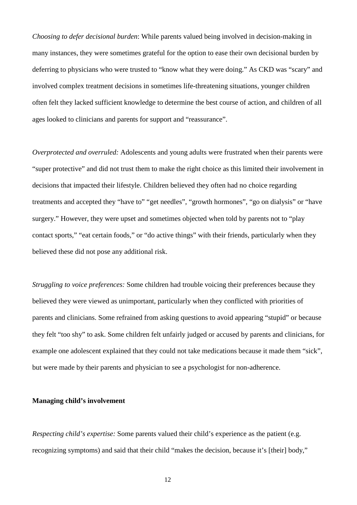*Choosing to defer decisional burden*: While parents valued being involved in decision-making in many instances, they were sometimes grateful for the option to ease their own decisional burden by deferring to physicians who were trusted to "know what they were doing." As CKD was "scary" and involved complex treatment decisions in sometimes life-threatening situations, younger children often felt they lacked sufficient knowledge to determine the best course of action, and children of all ages looked to clinicians and parents for support and "reassurance".

*Overprotected and overruled:* Adolescents and young adults were frustrated when their parents were "super protective" and did not trust them to make the right choice as this limited their involvement in decisions that impacted their lifestyle. Children believed they often had no choice regarding treatments and accepted they "have to" "get needles", "growth hormones", "go on dialysis" or "have surgery." However, they were upset and sometimes objected when told by parents not to "play contact sports," "eat certain foods," or "do active things" with their friends, particularly when they believed these did not pose any additional risk.

*Struggling to voice preferences:* Some children had trouble voicing their preferences because they believed they were viewed as unimportant, particularly when they conflicted with priorities of parents and clinicians. Some refrained from asking questions to avoid appearing "stupid" or because they felt "too shy" to ask. Some children felt unfairly judged or accused by parents and clinicians, for example one adolescent explained that they could not take medications because it made them "sick", but were made by their parents and physician to see a psychologist for non-adherence.

#### **Managing child's involvement**

*Respecting child's expertise:* Some parents valued their child's experience as the patient (e.g. recognizing symptoms) and said that their child "makes the decision, because it's [their] body,"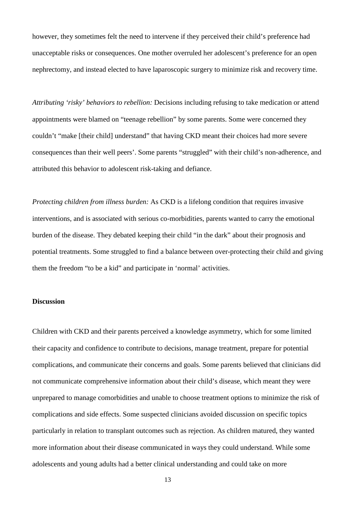however, they sometimes felt the need to intervene if they perceived their child's preference had unacceptable risks or consequences. One mother overruled her adolescent's preference for an open nephrectomy, and instead elected to have laparoscopic surgery to minimize risk and recovery time.

*Attributing 'risky' behaviors to rebellion:* Decisions including refusing to take medication or attend appointments were blamed on "teenage rebellion" by some parents. Some were concerned they couldn't "make [their child] understand" that having CKD meant their choices had more severe consequences than their well peers'. Some parents "struggled" with their child's non-adherence, and attributed this behavior to adolescent risk-taking and defiance.

*Protecting children from illness burden:* As CKD is a lifelong condition that requires invasive interventions, and is associated with serious co-morbidities, parents wanted to carry the emotional burden of the disease. They debated keeping their child "in the dark" about their prognosis and potential treatments. Some struggled to find a balance between over-protecting their child and giving them the freedom "to be a kid" and participate in 'normal' activities.

#### **Discussion**

Children with CKD and their parents perceived a knowledge asymmetry, which for some limited their capacity and confidence to contribute to decisions, manage treatment, prepare for potential complications, and communicate their concerns and goals. Some parents believed that clinicians did not communicate comprehensive information about their child's disease, which meant they were unprepared to manage comorbidities and unable to choose treatment options to minimize the risk of complications and side effects. Some suspected clinicians avoided discussion on specific topics particularly in relation to transplant outcomes such as rejection. As children matured, they wanted more information about their disease communicated in ways they could understand. While some adolescents and young adults had a better clinical understanding and could take on more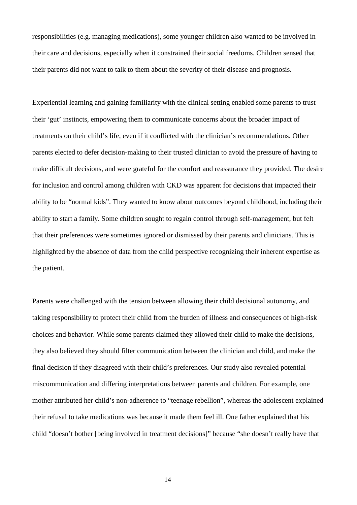responsibilities (e.g. managing medications), some younger children also wanted to be involved in their care and decisions, especially when it constrained their social freedoms. Children sensed that their parents did not want to talk to them about the severity of their disease and prognosis.

Experiential learning and gaining familiarity with the clinical setting enabled some parents to trust their 'gut' instincts, empowering them to communicate concerns about the broader impact of treatments on their child's life, even if it conflicted with the clinician's recommendations. Other parents elected to defer decision-making to their trusted clinician to avoid the pressure of having to make difficult decisions, and were grateful for the comfort and reassurance they provided. The desire for inclusion and control among children with CKD was apparent for decisions that impacted their ability to be "normal kids". They wanted to know about outcomes beyond childhood, including their ability to start a family. Some children sought to regain control through self-management, but felt that their preferences were sometimes ignored or dismissed by their parents and clinicians. This is highlighted by the absence of data from the child perspective recognizing their inherent expertise as the patient.

Parents were challenged with the tension between allowing their child decisional autonomy, and taking responsibility to protect their child from the burden of illness and consequences of high-risk choices and behavior. While some parents claimed they allowed their child to make the decisions, they also believed they should filter communication between the clinician and child, and make the final decision if they disagreed with their child's preferences. Our study also revealed potential miscommunication and differing interpretations between parents and children. For example, one mother attributed her child's non-adherence to "teenage rebellion", whereas the adolescent explained their refusal to take medications was because it made them feel ill. One father explained that his child "doesn't bother [being involved in treatment decisions]" because "she doesn't really have that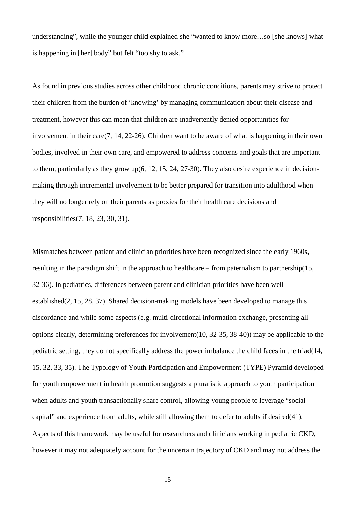understanding", while the younger child explained she "wanted to know more…so [she knows] what is happening in [her] body" but felt "too shy to ask."

As found in previous studies across other childhood chronic conditions, parents may strive to protect their children from the burden of 'knowing' by managing communication about their disease and treatment, however this can mean that children are inadvertently denied opportunities for involvement in their care(7, 14, 22-26). Children want to be aware of what is happening in their own bodies, involved in their own care, and empowered to address concerns and goals that are important to them, particularly as they grow up(6, 12, 15, 24, 27-30). They also desire experience in decisionmaking through incremental involvement to be better prepared for transition into adulthood when they will no longer rely on their parents as proxies for their health care decisions and responsibilities(7, 18, 23, 30, 31).

Mismatches between patient and clinician priorities have been recognized since the early 1960s, resulting in the paradigm shift in the approach to healthcare – from paternalism to partnership(15, 32-36). In pediatrics, differences between parent and clinician priorities have been well established(2, 15, 28, 37). Shared decision-making models have been developed to manage this discordance and while some aspects (e.g. multi-directional information exchange, presenting all options clearly, determining preferences for involvement(10, 32-35, 38-40)) may be applicable to the pediatric setting, they do not specifically address the power imbalance the child faces in the triad(14, 15, 32, 33, 35). The Typology of Youth Participation and Empowerment (TYPE) Pyramid developed for youth empowerment in health promotion suggests a pluralistic approach to youth participation when adults and youth transactionally share control, allowing young people to leverage "social capital" and experience from adults, while still allowing them to defer to adults if desired(41). Aspects of this framework may be useful for researchers and clinicians working in pediatric CKD, however it may not adequately account for the uncertain trajectory of CKD and may not address the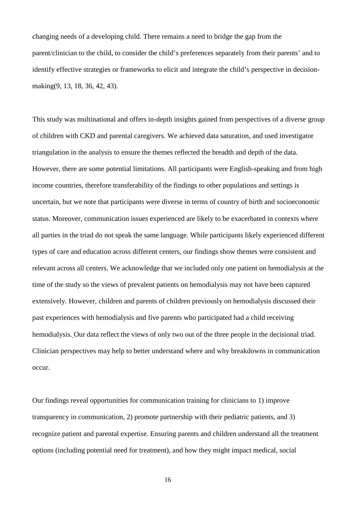changing needs of a developing child. There remains a need to bridge the gap from the parent/clinician to the child, to consider the child's preferences separately from their parents' and to identify effective strategies or frameworks to elicit and integrate the child's perspective in decisionmaking(9, 13, 18, 36, 42, 43).

This study was multinational and offers in-depth insights gained from perspectives of a diverse group of children with CKD and parental caregivers. We achieved data saturation, and used investigator triangulation in the analysis to ensure the themes reflected the breadth and depth of the data. However, there are some potential limitations. All participants were English-speaking and from high income countries, therefore transferability of the findings to other populations and settings is uncertain, but we note that participants were diverse in terms of country of birth and socioeconomic status. Moreover, communication issues experienced are likely to be exacerbated in contexts where all parties in the triad do not speak the same language. While participants likely experienced different types of care and education across different centers, our findings show themes were consistent and relevant across all centers. We acknowledge that we included only one patient on hemodialysis at the time of the study so the views of prevalent patients on hemodialysis may not have been captured extensively. However, children and parents of children previously on hemodialysis discussed their past experiences with hemodialysis and five parents who participated had a child receiving hemodialysis. Our data reflect the views of only two out of the three people in the decisional triad. Clinician perspectives may help to better understand where and why breakdowns in communication occur.

Our findings reveal opportunities for communication training for clinicians to 1) improve transparency in communication, 2) promote partnership with their pediatric patients, and 3) recognize patient and parental expertise. Ensuring parents and children understand all the treatment options (including potential need for treatment), and how they might impact medical, social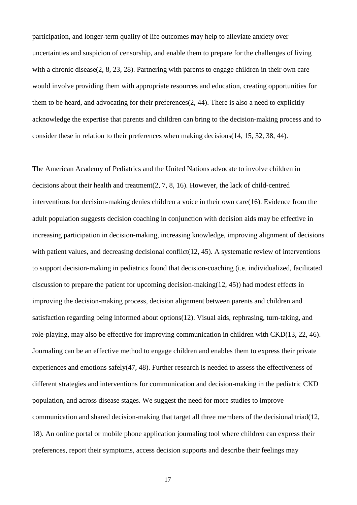participation, and longer-term quality of life outcomes may help to alleviate anxiety over uncertainties and suspicion of censorship, and enable them to prepare for the challenges of living with a chronic disease(2, 8, 23, 28). Partnering with parents to engage children in their own care would involve providing them with appropriate resources and education, creating opportunities for them to be heard, and advocating for their preferences(2, 44). There is also a need to explicitly acknowledge the expertise that parents and children can bring to the decision-making process and to consider these in relation to their preferences when making decisions(14, 15, 32, 38, 44).

The American Academy of Pediatrics and the United Nations advocate to involve children in decisions about their health and treatment(2, 7, 8, 16). However, the lack of child-centred interventions for decision-making denies children a voice in their own care(16). Evidence from the adult population suggests decision coaching in conjunction with decision aids may be effective in increasing participation in decision-making, increasing knowledge, improving alignment of decisions with patient values, and decreasing decisional conflict(12, 45). A systematic review of interventions to support decision-making in pediatrics found that decision-coaching (i.e. individualized, facilitated discussion to prepare the patient for upcoming decision-making(12, 45)) had modest effects in improving the decision-making process, decision alignment between parents and children and satisfaction regarding being informed about options(12). Visual aids, rephrasing, turn-taking, and role-playing, may also be effective for improving communication in children with CKD(13, 22, 46). Journaling can be an effective method to engage children and enables them to express their private experiences and emotions safely(47, 48). Further research is needed to assess the effectiveness of different strategies and interventions for communication and decision-making in the pediatric CKD population, and across disease stages. We suggest the need for more studies to improve communication and shared decision-making that target all three members of the decisional triad(12, 18). An online portal or mobile phone application journaling tool where children can express their preferences, report their symptoms, access decision supports and describe their feelings may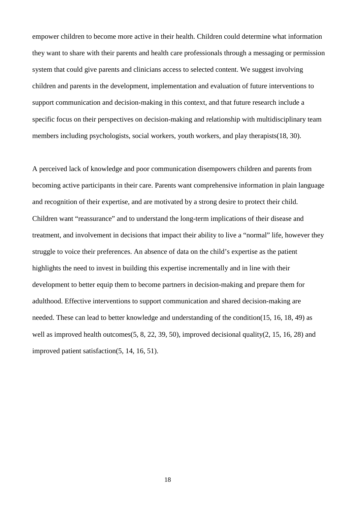empower children to become more active in their health. Children could determine what information they want to share with their parents and health care professionals through a messaging or permission system that could give parents and clinicians access to selected content. We suggest involving children and parents in the development, implementation and evaluation of future interventions to support communication and decision-making in this context, and that future research include a specific focus on their perspectives on decision-making and relationship with multidisciplinary team members including psychologists, social workers, youth workers, and play therapists(18, 30).

A perceived lack of knowledge and poor communication disempowers children and parents from becoming active participants in their care. Parents want comprehensive information in plain language and recognition of their expertise, and are motivated by a strong desire to protect their child. Children want "reassurance" and to understand the long-term implications of their disease and treatment, and involvement in decisions that impact their ability to live a "normal" life, however they struggle to voice their preferences. An absence of data on the child's expertise as the patient highlights the need to invest in building this expertise incrementally and in line with their development to better equip them to become partners in decision-making and prepare them for adulthood. Effective interventions to support communication and shared decision-making are needed. These can lead to better knowledge and understanding of the condition(15, 16, 18, 49) as well as improved health outcomes(5, 8, 22, 39, 50), improved decisional quality(2, 15, 16, 28) and improved patient satisfaction(5, 14, 16, 51).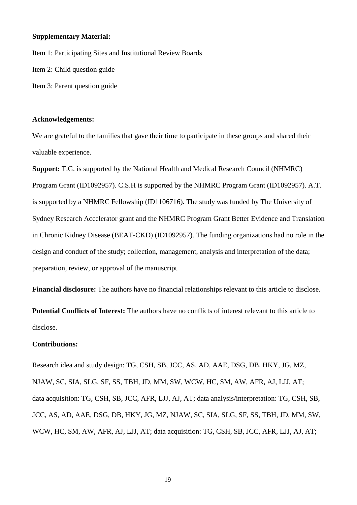## **Supplementary Material:**

Item 1: Participating Sites and Institutional Review Boards Item 2: Child question guide Item 3: Parent question guide

#### **Acknowledgements:**

We are grateful to the families that gave their time to participate in these groups and shared their valuable experience.

**Support:** T.G. is supported by the National Health and Medical Research Council (NHMRC) Program Grant (ID1092957). C.S.H is supported by the NHMRC Program Grant (ID1092957). A.T. is supported by a NHMRC Fellowship (ID1106716). The study was funded by The University of Sydney Research Accelerator grant and the NHMRC Program Grant Better Evidence and Translation in Chronic Kidney Disease (BEAT-CKD) (ID1092957). The funding organizations had no role in the design and conduct of the study; collection, management, analysis and interpretation of the data; preparation, review, or approval of the manuscript.

**Financial disclosure:** The authors have no financial relationships relevant to this article to disclose.

**Potential Conflicts of Interest:** The authors have no conflicts of interest relevant to this article to disclose.

#### **Contributions:**

Research idea and study design: TG, CSH, SB, JCC, AS, AD, AAE, DSG, DB, HKY, JG, MZ, NJAW, SC, SIA, SLG, SF, SS, TBH, JD, MM, SW, WCW, HC, SM, AW, AFR, AJ, LJJ, AT; data acquisition: TG, CSH, SB, JCC, AFR, LJJ, AJ, AT; data analysis/interpretation: TG, CSH, SB, JCC, AS, AD, AAE, DSG, DB, HKY, JG, MZ, NJAW, SC, SIA, SLG, SF, SS, TBH, JD, MM, SW, WCW, HC, SM, AW, AFR, AJ, LJJ, AT; data acquisition: TG, CSH, SB, JCC, AFR, LJJ, AJ, AT;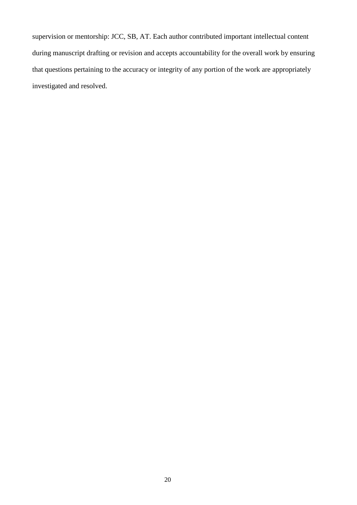supervision or mentorship: JCC, SB, AT. Each author contributed important intellectual content during manuscript drafting or revision and accepts accountability for the overall work by ensuring that questions pertaining to the accuracy or integrity of any portion of the work are appropriately investigated and resolved.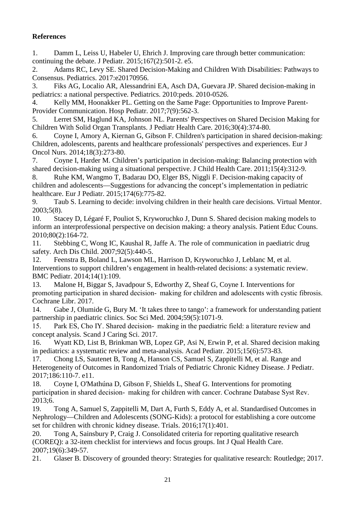# **References**

1. Damm L, Leiss U, Habeler U, Ehrich J. Improving care through better communication: continuing the debate. J Pediatr. 2015;167(2):501-2. e5.

2. Adams RC, Levy SE. Shared Decision-Making and Children With Disabilities: Pathways to Consensus. Pediatrics. 2017:e20170956.

3. Fiks AG, Localio AR, Alessandrini EA, Asch DA, Guevara JP. Shared decision-making in pediatrics: a national perspective. Pediatrics. 2010:peds. 2010-0526.

4. Kelly MM, Hoonakker PL. Getting on the Same Page: Opportunities to Improve Parent-Provider Communication. Hosp Pediatr. 2017;7(9):562-3.

5. Lerret SM, Haglund KA, Johnson NL. Parents' Perspectives on Shared Decision Making for Children With Solid Organ Transplants. J Pediatr Health Care. 2016;30(4):374-80.

6. Coyne I, Amory A, Kiernan G, Gibson F. Children's participation in shared decision-making: Children, adolescents, parents and healthcare professionals' perspectives and experiences. Eur J Oncol Nurs. 2014;18(3):273-80.

7. Coyne I, Harder M. Children's participation in decision-making: Balancing protection with shared decision-making using a situational perspective. J Child Health Care. 2011;15(4):312-9.

8. Ruhe KM, Wangmo T, Badarau DO, Elger BS, Niggli F. Decision-making capacity of children and adolescents—Suggestions for advancing the concept's implementation in pediatric healthcare. Eur J Pediatr. 2015;174(6):775-82.

9. Taub S. Learning to decide: involving children in their health care decisions. Virtual Mentor. 2003;5(8).

10. Stacey D, Légaré F, Pouliot S, Kryworuchko J, Dunn S. Shared decision making models to inform an interprofessional perspective on decision making: a theory analysis. Patient Educ Couns. 2010;80(2):164-72.

11. Stebbing C, Wong IC, Kaushal R, Jaffe A. The role of communication in paediatric drug safety. Arch Dis Child. 2007;92(5):440-5.

12. Feenstra B, Boland L, Lawson ML, Harrison D, Kryworuchko J, Leblanc M, et al. Interventions to support children's engagement in health-related decisions: a systematic review. BMC Pediatr. 2014;14(1):109.

13. Malone H, Biggar S, Javadpour S, Edworthy Z, Sheaf G, Coyne I. Interventions for promoting participation in shared decision- making for children and adolescents with cystic fibrosis. Cochrane Libr. 2017.

14. Gabe J, Olumide G, Bury M. 'It takes three to tango': a framework for understanding patient partnership in paediatric clinics. Soc Sci Med. 2004;59(5):1071-9.

15. Park ES, Cho IY. Shared decision‐making in the paediatric field: a literature review and concept analysis. Scand J Caring Sci. 2017.

16. Wyatt KD, List B, Brinkman WB, Lopez GP, Asi N, Erwin P, et al. Shared decision making in pediatrics: a systematic review and meta-analysis. Acad Pediatr. 2015;15(6):573-83.

17. Chong LS, Sautenet B, Tong A, Hanson CS, Samuel S, Zappitelli M, et al. Range and Heterogeneity of Outcomes in Randomized Trials of Pediatric Chronic Kidney Disease. J Pediatr. 2017;186:110-7. e11.

18. Coyne I, O'Mathúna D, Gibson F, Shields L, Sheaf G. Interventions for promoting participation in shared decision- making for children with cancer. Cochrane Database Syst Rev. 2013;6.

19. Tong A, Samuel S, Zappitelli M, Dart A, Furth S, Eddy A, et al. Standardised Outcomes in Nephrology—Children and Adolescents (SONG-Kids): a protocol for establishing a core outcome set for children with chronic kidney disease. Trials. 2016;17(1):401.

20. Tong A, Sainsbury P, Craig J. Consolidated criteria for reporting qualitative research (COREQ): a 32-item checklist for interviews and focus groups. Int J Qual Health Care. 2007;19(6):349-57.

21. Glaser B. Discovery of grounded theory: Strategies for qualitative research: Routledge; 2017.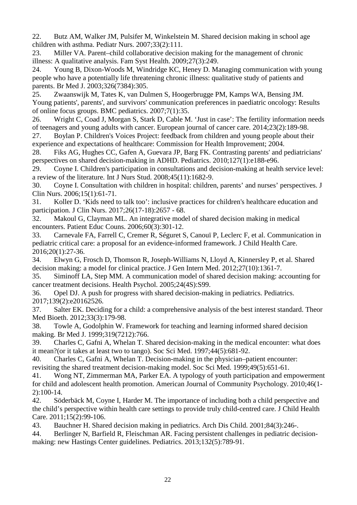22. Butz AM, Walker JM, Pulsifer M, Winkelstein M. Shared decision making in school age children with asthma. Pediatr Nurs. 2007;33(2):111.

23. Miller VA. Parent–child collaborative decision making for the management of chronic illness: A qualitative analysis. Fam Syst Health. 2009;27(3):249.

24. Young B, Dixon-Woods M, Windridge KC, Heney D. Managing communication with young people who have a potentially life threatening chronic illness: qualitative study of patients and parents. Br Med J. 2003;326(7384):305.

25. Zwaanswijk M, Tates K, van Dulmen S, Hoogerbrugge PM, Kamps WA, Bensing JM. Young patients', parents', and survivors' communication preferences in paediatric oncology: Results of online focus groups. BMC pediatrics. 2007;7(1):35.

26. Wright C, Coad J, Morgan S, Stark D, Cable M. 'Just in case': The fertility information needs of teenagers and young adults with cancer. European journal of cancer care. 2014;23(2):189-98.

27. Boylan P. Children's Voices Project: feedback from children and young people about their experience and expectations of healthcare: Commission for Health Improvement; 2004.

28. Fiks AG, Hughes CC, Gafen A, Guevara JP, Barg FK. Contrasting parents' and pediatricians' perspectives on shared decision-making in ADHD. Pediatrics. 2010;127(1):e188-e96.

29. Coyne I. Children's participation in consultations and decision-making at health service level: a review of the literature. Int J Nurs Stud. 2008;45(11):1682-9.

30. Coyne I. Consultation with children in hospital: children, parents' and nurses' perspectives. J Clin Nurs. 2006;15(1):61-71.

31. Koller D. 'Kids need to talk too': inclusive practices for children's healthcare education and participation. J Clin Nurs. 2017;26(17-18):2657 - 68.

32. Makoul G, Clayman ML. An integrative model of shared decision making in medical encounters. Patient Educ Couns. 2006;60(3):301-12.

33. Carnevale FA, Farrell C, Cremer R, Séguret S, Canouï P, Leclerc F, et al. Communication in pediatric critical care: a proposal for an evidence-informed framework. J Child Health Care. 2016;20(1):27-36.

34. Elwyn G, Frosch D, Thomson R, Joseph-Williams N, Lloyd A, Kinnersley P, et al. Shared decision making: a model for clinical practice. J Gen Intern Med. 2012;27(10):1361-7.

35. Siminoff LA, Step MM. A communication model of shared decision making: accounting for cancer treatment decisions. Health Psychol. 2005;24(4S):S99.

36. Opel DJ. A push for progress with shared decision-making in pediatrics. Pediatrics. 2017;139(2):e20162526.

37. Salter EK. Deciding for a child: a comprehensive analysis of the best interest standard. Theor Med Bioeth. 2012;33(3):179-98.

38. Towle A, Godolphin W. Framework for teaching and learning informed shared decision making. Br Med J. 1999;319(7212):766.

39. Charles C, Gafni A, Whelan T. Shared decision-making in the medical encounter: what does it mean?(or it takes at least two to tango). Soc Sci Med. 1997;44(5):681-92.

40. Charles C, Gafni A, Whelan T. Decision-making in the physician–patient encounter: revisiting the shared treatment decision-making model. Soc Sci Med. 1999;49(5):651-61.

41. Wong NT, Zimmerman MA, Parker EA. A typology of youth participation and empowerment for child and adolescent health promotion. American Journal of Community Psychology. 2010;46(1- 2):100-14.

42. Söderbäck M, Coyne I, Harder M. The importance of including both a child perspective and the child's perspective within health care settings to provide truly child-centred care. J Child Health Care. 2011;15(2):99-106.

43. Bauchner H. Shared decision making in pediatrics. Arch Dis Child. 2001;84(3):246-.

44. Berlinger N, Barfield R, Fleischman AR. Facing persistent challenges in pediatric decisionmaking: new Hastings Center guidelines. Pediatrics. 2013;132(5):789-91.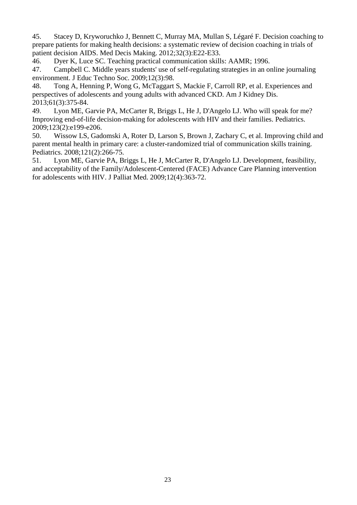45. Stacey D, Kryworuchko J, Bennett C, Murray MA, Mullan S, Légaré F. Decision coaching to prepare patients for making health decisions: a systematic review of decision coaching in trials of patient decision AIDS. Med Decis Making. 2012;32(3):E22-E33.

46. Dyer K, Luce SC. Teaching practical communication skills: AAMR; 1996.

47. Campbell C. Middle years students' use of self-regulating strategies in an online journaling environment. J Educ Techno Soc. 2009;12(3):98.

48. Tong A, Henning P, Wong G, McTaggart S, Mackie F, Carroll RP, et al. Experiences and perspectives of adolescents and young adults with advanced CKD. Am J Kidney Dis. 2013;61(3):375-84.

49. Lyon ME, Garvie PA, McCarter R, Briggs L, He J, D'Angelo LJ. Who will speak for me? Improving end-of-life decision-making for adolescents with HIV and their families. Pediatrics. 2009;123(2):e199-e206.

50. Wissow LS, Gadomski A, Roter D, Larson S, Brown J, Zachary C, et al. Improving child and parent mental health in primary care: a cluster-randomized trial of communication skills training. Pediatrics. 2008;121(2):266-75.

51. Lyon ME, Garvie PA, Briggs L, He J, McCarter R, D'Angelo LJ. Development, feasibility, and acceptability of the Family/Adolescent-Centered (FACE) Advance Care Planning intervention for adolescents with HIV. J Palliat Med. 2009;12(4):363-72.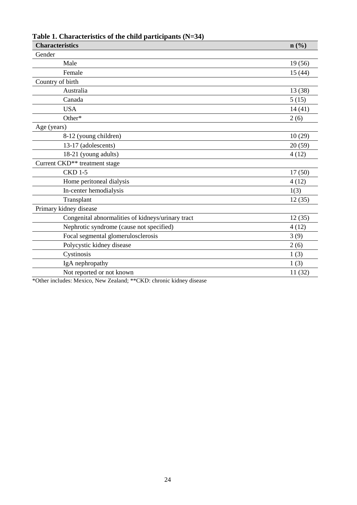| <b>Characteristics</b><br>n(%)                    |         |
|---------------------------------------------------|---------|
| Gender                                            |         |
| Male                                              | 19 (56) |
| Female                                            | 15(44)  |
| Country of birth                                  |         |
| Australia                                         | 13 (38) |
| Canada                                            | 5(15)   |
| <b>USA</b>                                        | 14(41)  |
| Other*                                            | 2(6)    |
| Age (years)                                       |         |
| 8-12 (young children)                             | 10(29)  |
| 13-17 (adolescents)                               | 20(59)  |
| 18-21 (young adults)                              | 4(12)   |
| Current CKD <sup>**</sup> treatment stage         |         |
| <b>CKD 1-5</b>                                    | 17(50)  |
| Home peritoneal dialysis                          | 4(12)   |
| In-center hemodialysis                            | 1(3)    |
| Transplant                                        | 12(35)  |
| Primary kidney disease                            |         |
| Congenital abnormalities of kidneys/urinary tract | 12(35)  |
| Nephrotic syndrome (cause not specified)          | 4(12)   |
| Focal segmental glomerulosclerosis                | 3(9)    |
| Polycystic kidney disease                         | 2(6)    |
| Cystinosis                                        | 1(3)    |
| IgA nephropathy                                   | 1(3)    |
| Not reported or not known                         | 11(32)  |

**Table 1. Characteristics of the child participants (N=34)**

\*Other includes: Mexico, New Zealand; \*\*CKD: chronic kidney disease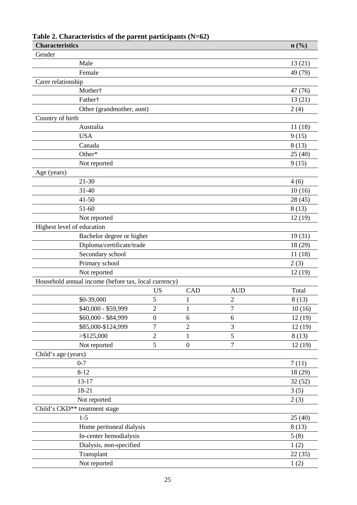| <b>Characteristics</b>     |                                                      |                  |                  |                | n(%)    |
|----------------------------|------------------------------------------------------|------------------|------------------|----------------|---------|
| Gender                     |                                                      |                  |                  |                |         |
|                            | Male                                                 |                  |                  |                | 13(21)  |
|                            | Female                                               |                  |                  |                | 49 (79) |
| Carer relationship         |                                                      |                  |                  |                |         |
|                            | Mother†                                              |                  |                  |                | 47 (76) |
|                            | Father†                                              |                  |                  |                | 13(21)  |
|                            | Other (grandmother, aunt)                            |                  |                  |                | 2(4)    |
| Country of birth           |                                                      |                  |                  |                |         |
|                            | Australia                                            |                  |                  |                | 11(18)  |
|                            | <b>USA</b>                                           |                  |                  |                | 9(15)   |
|                            | Canada                                               |                  |                  |                | 8(13)   |
|                            | Other*                                               |                  |                  |                | 25(40)  |
|                            | Not reported                                         |                  |                  |                | 9(15)   |
| Age (years)                |                                                      |                  |                  |                |         |
|                            | $21 - 30$                                            |                  |                  |                | 4(6)    |
|                            | $31 - 40$                                            |                  |                  |                | 10(16)  |
|                            | $41 - 50$                                            |                  |                  |                | 28 (45) |
|                            | $51 - 60$                                            |                  |                  |                | 8(13)   |
|                            | Not reported                                         |                  |                  |                | 12(19)  |
| Highest level of education |                                                      |                  |                  |                |         |
|                            | Bachelor degree or higher                            |                  |                  |                | 19(31)  |
|                            | Diploma/certificate/trade                            |                  |                  |                | 18 (29) |
|                            | Secondary school                                     |                  |                  |                | 11(18)  |
|                            | Primary school                                       |                  |                  |                | 2(3)    |
|                            | Not reported                                         |                  |                  |                | 12(19)  |
|                            | Household annual income (before tax, local currency) |                  |                  |                |         |
|                            |                                                      | <b>US</b>        | CAD              | <b>AUD</b>     | Total   |
|                            | \$0-39,000                                           | 5                | 1                | $\overline{c}$ | 8(13)   |
|                            | \$40,000 - \$59,999                                  | $\overline{c}$   | $\mathbf{1}$     | $\sqrt{ }$     | 10(16)  |
|                            | \$60,000 - \$84,999                                  | $\boldsymbol{0}$ | 6                | 6              | 12(19)  |
|                            | \$85,000-\$124,999                                   | $\overline{7}$   | $\overline{2}$   | 3              | 12(19)  |
|                            | > \$125,000                                          | $\overline{2}$   | 1                | 5              | 8(13)   |
|                            | Not reported                                         | 5                | $\boldsymbol{0}$ | 7              | 12(19)  |
| Child's age (years)        |                                                      |                  |                  |                |         |
|                            | $0 - 7$                                              |                  |                  |                | 7(11)   |
|                            | $8 - 12$                                             |                  |                  |                | 18 (29) |
|                            | 13-17                                                |                  |                  |                | 32(52)  |
|                            | 18-21                                                |                  |                  |                | 3(5)    |
|                            | Not reported                                         |                  |                  |                | 2(3)    |
|                            | Child's CKD** treatment stage                        |                  |                  |                |         |
|                            | $1 - 5$                                              |                  |                  |                | 25(40)  |
|                            | Home peritoneal dialysis                             |                  |                  |                | 8(13)   |
|                            | In-center hemodialysis                               |                  |                  |                | 5(8)    |
|                            | Dialysis, non-specified                              |                  |                  |                | 1(2)    |
|                            | Transplant                                           |                  |                  |                | 22(35)  |
|                            | Not reported                                         |                  |                  |                | 1(2)    |

# **Table 2. Characteristics of the parent participants (N=62)**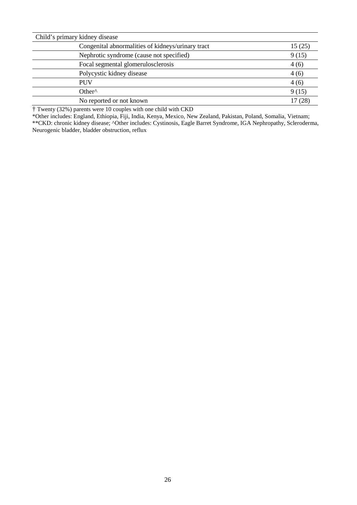| Child's primary kidney disease                    |        |
|---------------------------------------------------|--------|
| Congenital abnormalities of kidneys/urinary tract | 15(25) |
| Nephrotic syndrome (cause not specified)          | 9(15)  |
| Focal segmental glomerulosclerosis                | 4(6)   |
| Polycystic kidney disease                         | 4(6)   |
| <b>PUV</b>                                        | 4(6)   |
| Other <sup>^</sup>                                | 9(15)  |
| No reported or not known                          | 17(28) |

† Twenty (32%) parents were 10 couples with one child with CKD

\*Other includes: England, Ethiopia, Fiji, India, Kenya, Mexico, New Zealand, Pakistan, Poland, Somalia, Vietnam; \*\*CKD: chronic kidney disease; ^Other includes: Cystinosis, Eagle Barret Syndrome, IGA Nephropathy, Scleroderma, Neurogenic bladder, bladder obstruction, reflux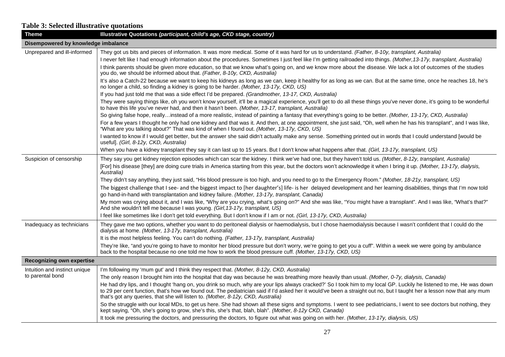# **Table 3: Selected illustrative quotations**

| <b>Theme</b>                        | Illustrative Quotations (participant, child's age, CKD stage, country)                                                                                                                                                                                                                                                                                                                                                             |  |
|-------------------------------------|------------------------------------------------------------------------------------------------------------------------------------------------------------------------------------------------------------------------------------------------------------------------------------------------------------------------------------------------------------------------------------------------------------------------------------|--|
| Disempowered by knowledge imbalance |                                                                                                                                                                                                                                                                                                                                                                                                                                    |  |
| Unprepared and ill-informed         | They got us bits and pieces of information. It was more medical. Some of it was hard for us to understand. (Father, 8-10y, transplant, Australia)                                                                                                                                                                                                                                                                                  |  |
|                                     | I never felt like I had enough information about the procedures. Sometimes I just feel like I'm getting railroaded into things. (Mother, 13-17y, transplant, Australia)                                                                                                                                                                                                                                                            |  |
|                                     | I think parents should be given more education, so that we know what's going on, and we know more about the disease. We lack a lot of outcomes of the studies<br>you do, we should be informed about that. (Father, 8-10y, CKD, Australia)                                                                                                                                                                                         |  |
|                                     | It's also a Catch-22 because we want to keep his kidneys as long as we can, keep it healthy for as long as we can. But at the same time, once he reaches 18, he's<br>no longer a child, so finding a kidney is going to be harder. (Mother, 13-17y, CKD, US)                                                                                                                                                                       |  |
|                                     | If you had just told me that was a side effect I'd be prepared. (Grandmother, 13-17, CKD, Australia)                                                                                                                                                                                                                                                                                                                               |  |
|                                     | They were saying things like, oh you won't know yourself, it'll be a magical experience, you'll get to do all these things you've never done, it's going to be wonderful<br>to have this life you've never had, and then it hasn't been. (Mother, 13-17, transplant, Australia)                                                                                                                                                    |  |
|                                     | So giving false hope, reallyinstead of a more realistic, instead of painting a fantasy that everything's going to be better. (Mother, 13-17y, CKD, Australia)                                                                                                                                                                                                                                                                      |  |
|                                     | For a few years I thought he only had one kidney and that was it. And then, at one appointment, she just said, "Oh, well when he has his transplant", and I was like,<br>"What are you talking about?" That was kind of when I found out. (Mother, 13-17y, CKD, US)                                                                                                                                                                |  |
|                                     | I wanted to know if I would get better, but the answer she said didn't actually make any sense. Something printed out in words that I could understand [would be<br>useful]. (Girl, 8-12y, CKD, Australia)                                                                                                                                                                                                                         |  |
|                                     | When you have a kidney transplant they say it can last up to 15 years. But I don't know what happens after that. (Girl, 13-17y, transplant, US)                                                                                                                                                                                                                                                                                    |  |
| Suspicion of censorship             | They say you get kidney rejection episodes which can scar the kidney. I think we've had one, but they haven't told us. (Mother, 8-12y, transplant, Australia)                                                                                                                                                                                                                                                                      |  |
|                                     | [For] his disease [they] are doing cure trials in America starting from this year, but the doctors won't acknowledge it when I bring it up. (Mother, 13-17y, dialysis,<br>Australia)                                                                                                                                                                                                                                               |  |
|                                     | They didn't say anything, they just said, "His blood pressure is too high, and you need to go to the Emergency Room." (Mother, 18-21y, transplant, US)                                                                                                                                                                                                                                                                             |  |
|                                     | The biggest challenge that I see- and the biggest impact to [her daughter's] life- is her delayed development and her learning disabilities, things that I'm now told<br>go hand-in-hand with transplantation and kidney failure. (Mother, 13-17y, transplant, Canada)                                                                                                                                                             |  |
|                                     | My mom was crying about it, and I was like, "Why are you crying, what's going on?" And she was like, "You might have a transplant". And I was like, "What's that?"<br>And she wouldn't tell me because I was young. (Girl, 13-17y, transplant, US)                                                                                                                                                                                 |  |
|                                     | I feel like sometimes like I don't get told everything. But I don't know if I am or not. (Girl, 13-17y, CKD, Australia)                                                                                                                                                                                                                                                                                                            |  |
| Inadequacy as technicians           | They gave me two options, whether you want to do peritoneal dialysis or haemodialysis, but I chose haemodialysis because I wasn't confident that I could do the<br>dialysis at home. (Mother, 13-17y, transplant, Australia)                                                                                                                                                                                                       |  |
|                                     | It is the most helpless feeling. You can't do nothing. (Father, 13-17y, transplant, Australia)                                                                                                                                                                                                                                                                                                                                     |  |
|                                     | They're like, "and you're going to have to monitor her blood pressure but don't worry, we're going to get you a cuff". Within a week we were going by ambulance<br>back to the hospital because no one told me how to work the blood pressure cuff. (Mother, 13-17y, CKD, US)                                                                                                                                                      |  |
| <b>Recognizing own expertise</b>    |                                                                                                                                                                                                                                                                                                                                                                                                                                    |  |
| Intuition and instinct unique       | I'm following my 'mum gut' and I think they respect that. (Mother, 8-12y, CKD, Australia)                                                                                                                                                                                                                                                                                                                                          |  |
| to parental bond                    | The only reason I brought him into the hospital that day was because he was breathing more heavily than usual. (Mother, 0-7y, dialysis, Canada)                                                                                                                                                                                                                                                                                    |  |
|                                     | He had dry lips, and I thought 'hang on, you drink so much, why are your lips always cracked?' So I took him to my local GP. Luckily he listened to me, He was down<br>to 29 per cent function, that's how we found out. The pediatrician said if I'd asked her it would've been a straight out no, but I taught her a lesson now that any mum<br>that's got any queries, that she will listen to. (Mother, 8-12y, CKD, Australia) |  |
|                                     | So the struggle with our local MDs, to get us here. She had shown all these signs and symptoms. I went to see pediatricians, I went to see doctors but nothing, they<br>kept saying, "Oh, she's going to grow, she's this, she's that, blah, blah". (Mother, 8-12y CKD, Canada)                                                                                                                                                    |  |
|                                     | It took me pressuring the doctors, and pressuring the doctors, to figure out what was going on with her. (Mother, 13-17y, dialysis, US)                                                                                                                                                                                                                                                                                            |  |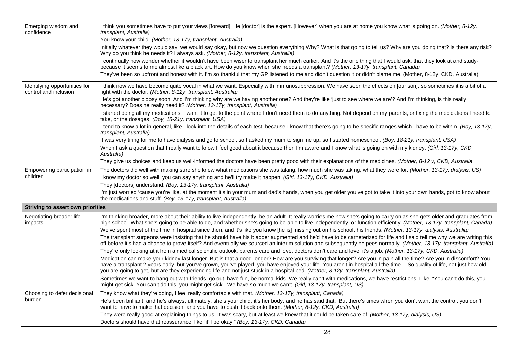| Emerging wisdom and<br>confidence                      | I think you sometimes have to put your views [forward]. He [doctor] is the expert. [However] when you are at home you know what is going on. (Mother, 8-12y,<br>transplant, Australia)                                                                                                                                                                                                                                                                                             |  |
|--------------------------------------------------------|------------------------------------------------------------------------------------------------------------------------------------------------------------------------------------------------------------------------------------------------------------------------------------------------------------------------------------------------------------------------------------------------------------------------------------------------------------------------------------|--|
|                                                        | You know your child. (Mother, 13-17y, transplant, Australia)                                                                                                                                                                                                                                                                                                                                                                                                                       |  |
|                                                        | Initially whatever they would say, we would say okay, but now we question everything Why? What is that going to tell us? Why are you doing that? Is there any risk?<br>Why do you think he needs it? I always ask. (Mother, 8-12y, transplant, Australia)                                                                                                                                                                                                                          |  |
|                                                        | I continually now wonder whether it wouldn't have been wiser to transplant her much earlier. And it's the one thing that I would ask, that they look at and study-<br>because it seems to me almost like a black art. How do you know when she needs a transplant? (Mother, 13-17y, transplant, Canada)                                                                                                                                                                            |  |
|                                                        | They've been so upfront and honest with it. I'm so thankful that my GP listened to me and didn't question it or didn't blame me. (Mother, 8-12y, CKD, Australia)                                                                                                                                                                                                                                                                                                                   |  |
| Identifying opportunities for<br>control and inclusion | I think now we have become quite vocal in what we want. Especially with immunosuppression. We have seen the effects on [our son], so sometimes it is a bit of a<br>fight with the doctor. (Mother, 8-12y, transplant, Australia)                                                                                                                                                                                                                                                   |  |
|                                                        | He's got another biopsy soon. And I'm thinking why are we having another one? And they're like 'just to see where we are'? And I'm thinking, is this really<br>necessary? Does he really need it? (Mother, 13-17y, transplant, Australia)                                                                                                                                                                                                                                          |  |
|                                                        | I started doing all my medications, I want it to get to the point where I don't need them to do anything. Not depend on my parents, or fixing the medications I need to<br>take, or the dosages. (Boy, 18-21y, transplant, USA)                                                                                                                                                                                                                                                    |  |
|                                                        | I tend to know a lot in general, like I look into the details of each test, because I know that there's going to be specific ranges which I have to be within. (Boy, 13-17y,<br>transplant, Australia)                                                                                                                                                                                                                                                                             |  |
|                                                        | It was very tiring for me to have dialysis and go to school, so I asked my mum to sign me up, so I started homeschool. (Boy, 18-21y, transplant, USA)                                                                                                                                                                                                                                                                                                                              |  |
|                                                        | When I ask a question that I really want to know I feel good about it because then I'm aware and I know what is going on with my kidney. (Girl, 13-17y, CKD,<br>Australia)                                                                                                                                                                                                                                                                                                         |  |
|                                                        | They give us choices and keep us well-informed the doctors have been pretty good with their explanations of the medicines. (Mother, 8-12 y, CKD, Australia                                                                                                                                                                                                                                                                                                                         |  |
| Empowering participation in                            | The doctors did well with making sure she knew what medications she was taking, how much she was taking, what they were for. (Mother, 13-17y, dialysis, US)                                                                                                                                                                                                                                                                                                                        |  |
| children                                               | I know my doctor so well, you can say anything and he'll try make it happen. (Girl, 13-17y, CKD, Australia)                                                                                                                                                                                                                                                                                                                                                                        |  |
|                                                        | They [doctors] understand. (Boy, 13-17y, transplant, Australia)                                                                                                                                                                                                                                                                                                                                                                                                                    |  |
|                                                        | I'm just worried 'cause you're like, at the moment it's in your mum and dad's hands, when you get older you've got to take it into your own hands, got to know about<br>the medications and stuff. (Boy, 13-17y, transplant, Australia)                                                                                                                                                                                                                                            |  |
| <b>Striving to assert own priorities</b>               |                                                                                                                                                                                                                                                                                                                                                                                                                                                                                    |  |
| Negotiating broader life<br>impacts                    | I'm thinking broader, more about their ability to live independently, be an adult. It really worries me how she's going to carry on as she gets older and graduates from<br>high school. What she's going to be able to do, and whether she's going to be able to live independently, or function efficiently. (Mother, 13-17y, transplant, Canada)                                                                                                                                |  |
|                                                        | We've spent most of the time in hospital since then, and it's like you know [he is] missing out on his school, his friends. (Mother, 13-17y, dialysis, Australia)                                                                                                                                                                                                                                                                                                                  |  |
|                                                        | The transplant surgeons were insisting that he should have his bladder augmented and he'd have to be catheterized for life and I said tell me why we are writing this<br>off before it's had a chance to prove itself? And eventually we sourced an interim solution and subsequently he pees normally. (Mother, 13-17y, transplant, Australia)                                                                                                                                    |  |
|                                                        | They're only looking at it from a medical scientific outlook, parents care and love, doctors don't care and love, it's a job. (Mother, 13-17y, CKD, Australia)                                                                                                                                                                                                                                                                                                                     |  |
|                                                        | Medication can make your kidney last longer. But is that a good longer? How are you surviving that longer? Are you in pain all the time? Are you in discomfort? You<br>have a transplant 2 years early, but you've grown, you've played, you have enjoyed your life. You aren't in hospital all the time So quality of life, not just how old<br>you are going to get, but are they experiencing life and not just stuck in a hospital bed. (Mother, 8-12y, transplant, Australia) |  |
|                                                        | Sometimes we want to hang out with friends, go out, have fun, be normal kids. We really can't with medications, we have restrictions. Like, "You can't do this, you<br>might get sick. You can't do this, you might get sick". We have so much we can't. (Girl, 13-17y, transplant, US)                                                                                                                                                                                            |  |
| Choosing to defer decisional                           | They know what they're doing, I feel really comfortable with that. (Mother, 13-17y, transplant, Canada)                                                                                                                                                                                                                                                                                                                                                                            |  |
| burden                                                 | He's been brilliant, and he's always, ultimately, she's your child, it's her body, and he has said that. But there's times when you don't want the control, you don't<br>want to have to make that decision, and you have to push it back onto them. (Mother, 8-12y, CKD, Australia)                                                                                                                                                                                               |  |
|                                                        | They were really good at explaining things to us. It was scary, but at least we knew that it could be taken care of. (Mother, 13-17y, dialysis, US)                                                                                                                                                                                                                                                                                                                                |  |
|                                                        | Doctors should have that reassurance, like "it'll be okay." (Boy, 13-17y, CKD, Canada)                                                                                                                                                                                                                                                                                                                                                                                             |  |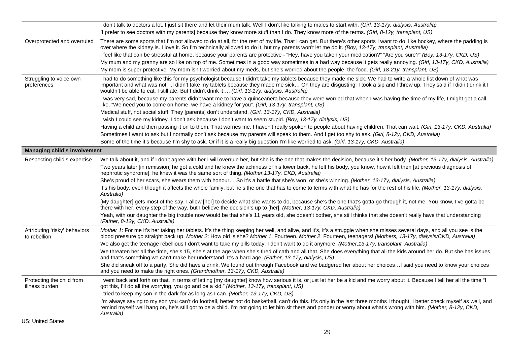|                                               | I don't talk to doctors a lot. I just sit there and let their mum talk. Well I don't like talking to males to start with. (Girl, 13-17y, dialysis, Australia)                                                                                                                                                                                                                                                                            |
|-----------------------------------------------|------------------------------------------------------------------------------------------------------------------------------------------------------------------------------------------------------------------------------------------------------------------------------------------------------------------------------------------------------------------------------------------------------------------------------------------|
|                                               | [I prefer to see doctors with my parents] because they know more stuff than I do. They know more of the terms. (Girl, 8-12y, transplant, US)                                                                                                                                                                                                                                                                                             |
| Overprotected and overruled                   | There are some sports that I'm not allowed to do at all, for the rest of my life. That I can get. But there's other sports I want to do, like hockey, where the padding is<br>over where the kidney is. I love it. So I'm technically allowed to do it, but my parents won't let me do it. (Boy, 13-17y, transplant, Australia)                                                                                                          |
|                                               | I feel like that can be stressful at home, because your parents are protective - "Hey, have you taken your medication?" "Are you sure?" (Boy, 13-17y, CKD, US)                                                                                                                                                                                                                                                                           |
|                                               | My mum and my granny are so like on top of me. Sometimes in a good way sometimes in a bad way because it gets really annoying. (Girl, 13-17y, CKD, Australia)                                                                                                                                                                                                                                                                            |
|                                               | My mom is super protective. My mom isn't worried about my meds, but she's worried about the people, the food. (Girl, 18-21y, transplant, US)                                                                                                                                                                                                                                                                                             |
| Struggling to voice own<br>preferences        | I had to do something like this for my psychologist because I didn't take my tablets because they made me sick. We had to write a whole list down of what was<br>important and what was not. I didn't take my tablets because they made me sick Oh they are disgusting! I took a sip and I threw up. They said if I didn't drink it I<br>wouldn't be able to eat. I still ate. But I didn't drink it (Girl, 13-17y, dialysis, Australia) |
|                                               | I was very sad, because my parents didn't want me to have a quinceañera because they were worried that when I was having the time of my life, I might get a call,<br>like, "We need you to come on home, we have a kidney for you". (Girl, 13-17y, transplant, US)                                                                                                                                                                       |
|                                               | Medical stuff, not social stuff. They [parents] don't understand. (Girl, 13-17y, CKD, Australia)                                                                                                                                                                                                                                                                                                                                         |
|                                               | I wish I could see my kidney. I don't ask because I don't want to seem stupid. (Boy, 13-17y, dialysis, US)                                                                                                                                                                                                                                                                                                                               |
|                                               | Having a child and then passing it on to them. That worries me. I haven't really spoken to people about having children. That can wait. (Girl, 13-17y, CKD, Australia)                                                                                                                                                                                                                                                                   |
|                                               | Sometimes I want to ask but I normally don't ask because my parents will speak to them. And I get too shy to ask. (Girl, 8-12y, CKD, Australia)                                                                                                                                                                                                                                                                                          |
|                                               | Some of the time it's because I'm shy to ask. Or if it is a really big question I'm like worried to ask. (Girl, 13-17y, CKD, Australia)                                                                                                                                                                                                                                                                                                  |
| <b>Managing child's involvement</b>           |                                                                                                                                                                                                                                                                                                                                                                                                                                          |
| Respecting child's expertise                  | We talk about it, and if I don't agree with her I will overrule her, but she is the one that makes the decision, because it's her body. (Mother, 13-17y, dialysis, Australia)                                                                                                                                                                                                                                                            |
|                                               | Two years later [in remission] he got a cold and he knew the achiness of his lower back, he felt his body, you know, how it felt then [at previous diagnosis of<br>nephrotic syndrome], he knew it was the same sort of thing. (Mother, 13-17y, CKD, Australia)                                                                                                                                                                          |
|                                               | She's proud of her scars, she wears them with honour So it's a battle that she's won, or she's winning. (Mother, 13-17y, dialysis, Australia)                                                                                                                                                                                                                                                                                            |
|                                               | It's his body, even though it affects the whole family, but he's the one that has to come to terms with what he has for the rest of his life. (Mother, 13-17y, dialysis,<br>Australia)                                                                                                                                                                                                                                                   |
|                                               | [My daughter] gets most of the say. I allow [her] to decide what she wants to do, because she's the one that's gotta go through it, not me. You know, I've gotta be<br>there with her, every step of the way, but I believe the decision's up to [her]. (Mother, 13-17y, CKD, Australia)                                                                                                                                                 |
|                                               | Yeah, with our daughter the big trouble now would be that she's 11 years old, she doesn't bother, she still thinks that she doesn't really have that understanding<br>(Father, 8-12y, CKD, Australia)                                                                                                                                                                                                                                    |
| Attributing 'risky' behaviors<br>to rebellion | Mother 1: For me it's her taking her tablets. It's the thing keeping her well, and alive, and it's, it's a struggle when she misses several days, and all you see is the<br>blood pressure go straight back up. Mother 2: How old is she? Mother 1: Fourteen. Mother 2: Fourteen, teenagers! (Mothers, 13-17y, dialysis/CKD, Australia)                                                                                                  |
|                                               | We also get the teenage rebellious I don't want to take my pills today. I don't want to do it anymore. (Mother, 13-17y, transplant, Australia)                                                                                                                                                                                                                                                                                           |
|                                               | We threaten her all the time, she's 15, she's at the age when she's tired of cath and all that. She does everything that all the kids around her do. But she has issues,<br>and that's something we can't make her understand. It's a hard age. (Father, 13-17y, dialysis, US)                                                                                                                                                           |
|                                               | She did sneak off to a party. She did have a drink. We found out through Facebook and we badgered her about her choices I said you need to know your choices<br>and you need to make the right ones. (Grandmother, 13-17y, CKD, Australia)                                                                                                                                                                                               |
| Protecting the child from<br>illness burden   | I went back and forth on that, in terms of letting [my daughter] know how serious it is, or just let her be a kid and me worry about it. Because I tell her all the time "I<br>got this, I'll do all the worrying, you go and be a kid." (Mother, 13-17y, transplant, US)                                                                                                                                                                |
|                                               | I tried to keep my son in the dark for as long as I can. (Mother, 13-17y, CKD, US)                                                                                                                                                                                                                                                                                                                                                       |
|                                               | I'm always saying to my son you can't do football, better not do basketball, can't do this. It's only in the last three months I thought, I better check myself as well, and<br>remind myself well hang on, he's still got to be a child. I'm not going to let him sit there and ponder or worry about what's wrong with him. (Mother, 8-12y, CKD,<br>Australia)                                                                         |
|                                               |                                                                                                                                                                                                                                                                                                                                                                                                                                          |

US: United States